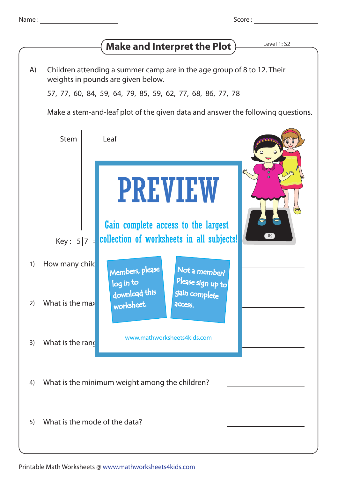| Name |  |
|------|--|
|      |  |
|      |  |

Score :

## **Make and Interpret the Plot**  $\overline{\phantom{a}}$  Level 1: S2

Children attending a summer camp are in the age group of 8 to 12. Their weights in pounds are given below. A)

57, 77, 60, 84, 59, 64, 79, 85, 59, 62, 77, 68, 86, 77, 78

Make a stem-and-leaf plot of the given data and answer the following questions.

| What is the minimum weight among the children?<br>4) |  |  |  |  |
|------------------------------------------------------|--|--|--|--|
|                                                      |  |  |  |  |
|                                                      |  |  |  |  |